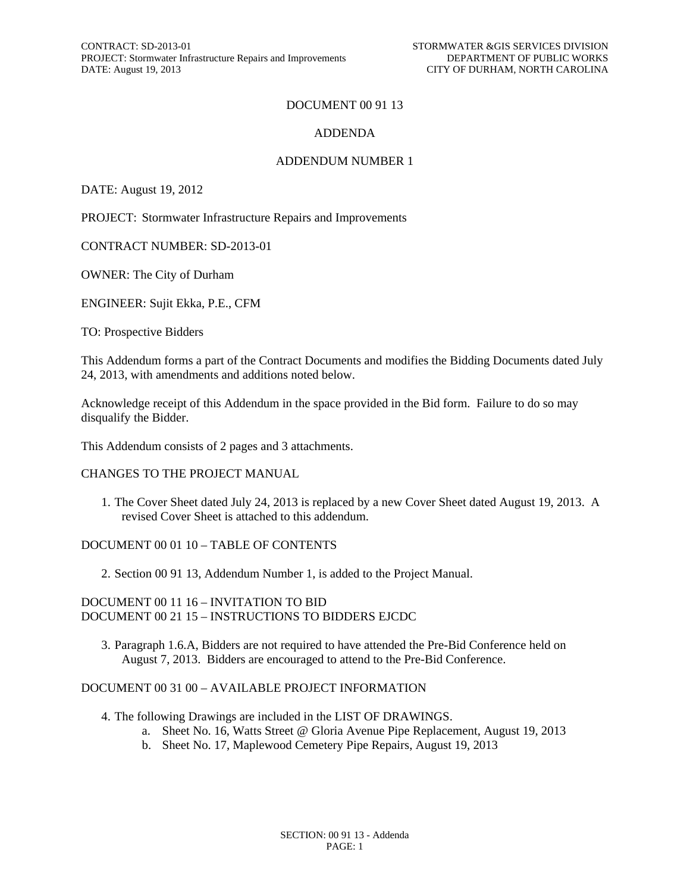CONTRACT: SD-2013-01<br>
PROJECT: Stormwater Infrastructure Repairs and Improvements<br>
DEPARTMENT OF PUBLIC WORKS PROJECT: Stormwater Infrastructure Repairs and Improvements DATE: August 19, 2013 CITY OF DURHAM, NORTH CAROLINA

#### DOCUMENT 00 91 13

#### ADDENDA

#### ADDENDUM NUMBER 1

DATE: August 19, 2012

PROJECT: Stormwater Infrastructure Repairs and Improvements

CONTRACT NUMBER: SD-2013-01

OWNER: The City of Durham

ENGINEER: Sujit Ekka, P.E., CFM

TO: Prospective Bidders

This Addendum forms a part of the Contract Documents and modifies the Bidding Documents dated July 24, 2013, with amendments and additions noted below.

Acknowledge receipt of this Addendum in the space provided in the Bid form. Failure to do so may disqualify the Bidder.

This Addendum consists of 2 pages and 3 attachments.

#### CHANGES TO THE PROJECT MANUAL

1. The Cover Sheet dated July 24, 2013 is replaced by a new Cover Sheet dated August 19, 2013. A revised Cover Sheet is attached to this addendum.

#### DOCUMENT 00 01 10 – TABLE OF CONTENTS

2. Section 00 91 13, Addendum Number 1, is added to the Project Manual.

#### DOCUMENT 00 11 16 – INVITATION TO BID DOCUMENT 00 21 15 – INSTRUCTIONS TO BIDDERS EJCDC

3. Paragraph 1.6.A, Bidders are not required to have attended the Pre-Bid Conference held on August 7, 2013. Bidders are encouraged to attend to the Pre-Bid Conference.

#### DOCUMENT 00 31 00 – AVAILABLE PROJECT INFORMATION

- 4. The following Drawings are included in the LIST OF DRAWINGS.
	- a. Sheet No. 16, Watts Street @ Gloria Avenue Pipe Replacement, August 19, 2013
	- b. Sheet No. 17, Maplewood Cemetery Pipe Repairs, August 19, 2013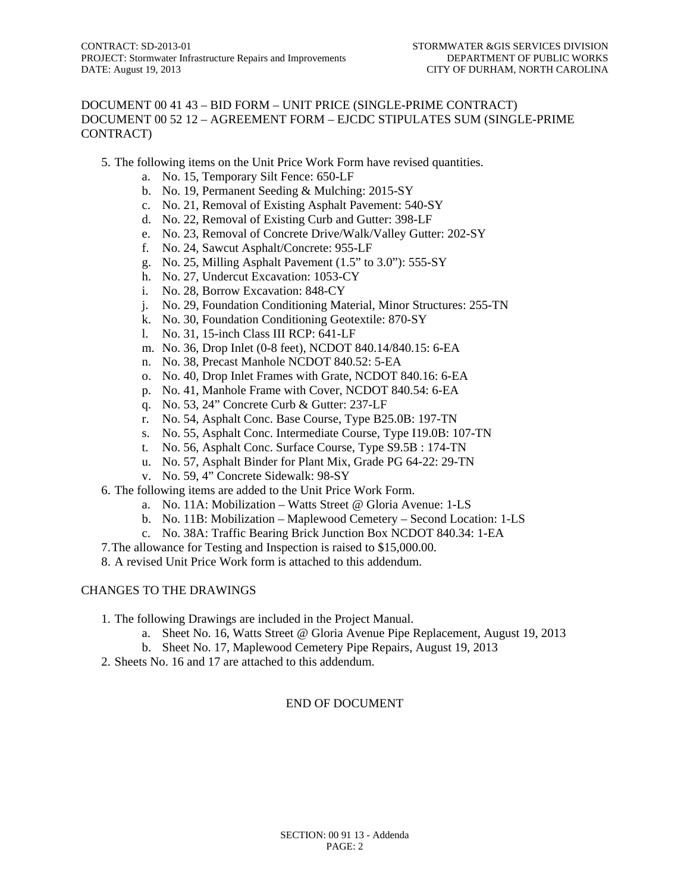#### DOCUMENT 00 41 43 – BID FORM – UNIT PRICE (SINGLE-PRIME CONTRACT) DOCUMENT 00 52 12 – AGREEMENT FORM – EJCDC STIPULATES SUM (SINGLE-PRIME CONTRACT)

- 5. The following items on the Unit Price Work Form have revised quantities.
	- a. No. 15, Temporary Silt Fence: 650-LF
	- b. No. 19, Permanent Seeding & Mulching: 2015-SY
	- c. No. 21, Removal of Existing Asphalt Pavement: 540-SY
	- d. No. 22, Removal of Existing Curb and Gutter: 398-LF
	- e. No. 23, Removal of Concrete Drive/Walk/Valley Gutter: 202-SY
	- f. No. 24, Sawcut Asphalt/Concrete: 955-LF
	- g. No. 25, Milling Asphalt Pavement (1.5" to 3.0"): 555-SY
	- h. No. 27, Undercut Excavation: 1053-CY
	- i. No. 28, Borrow Excavation: 848-CY
	- j. No. 29, Foundation Conditioning Material, Minor Structures: 255-TN
	- k. No. 30, Foundation Conditioning Geotextile: 870-SY
	- l. No. 31, 15-inch Class III RCP: 641-LF
	- m. No. 36, Drop Inlet (0-8 feet), NCDOT 840.14/840.15: 6-EA
	- n. No. 38, Precast Manhole NCDOT 840.52: 5-EA
	- o. No. 40, Drop Inlet Frames with Grate, NCDOT 840.16: 6-EA
	- p. No. 41, Manhole Frame with Cover, NCDOT 840.54: 6-EA
	- q. No. 53, 24" Concrete Curb & Gutter: 237-LF
	- r. No. 54, Asphalt Conc. Base Course, Type B25.0B: 197-TN
	- s. No. 55, Asphalt Conc. Intermediate Course, Type I19.0B: 107-TN
	- t. No. 56, Asphalt Conc. Surface Course, Type S9.5B : 174-TN
	- u. No. 57, Asphalt Binder for Plant Mix, Grade PG 64-22: 29-TN
	- v. No. 59, 4" Concrete Sidewalk: 98-SY
- 6. The following items are added to the Unit Price Work Form.
	- a. No. 11A: Mobilization Watts Street @ Gloria Avenue: 1-LS
	- b. No. 11B: Mobilization Maplewood Cemetery Second Location: 1-LS
	- c. No. 38A: Traffic Bearing Brick Junction Box NCDOT 840.34: 1-EA
- 7.The allowance for Testing and Inspection is raised to \$15,000.00.
- 8. A revised Unit Price Work form is attached to this addendum.

#### CHANGES TO THE DRAWINGS

- 1. The following Drawings are included in the Project Manual.
	- a. Sheet No. 16, Watts Street @ Gloria Avenue Pipe Replacement, August 19, 2013
	- b. Sheet No. 17, Maplewood Cemetery Pipe Repairs, August 19, 2013
- 2. Sheets No. 16 and 17 are attached to this addendum.

#### END OF DOCUMENT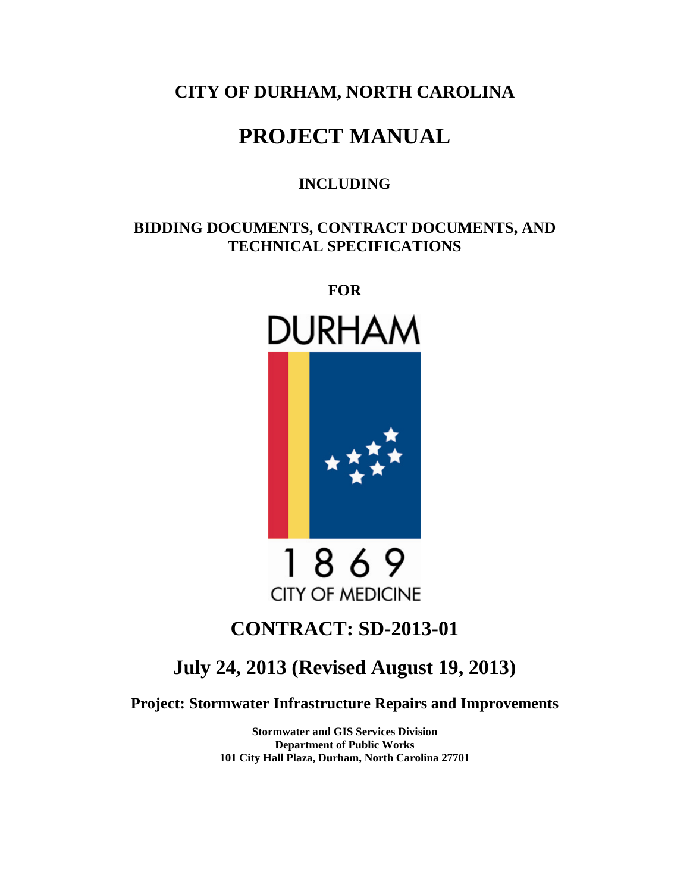## **CITY OF DURHAM, NORTH CAROLINA**

# **PROJECT MANUAL**

### **INCLUDING**

### **BIDDING DOCUMENTS, CONTRACT DOCUMENTS, AND TECHNICAL SPECIFICATIONS**

**FOR** 





1869 **CITY OF MEDICINE** 

## **CONTRACT: SD-2013-01**

## **July 24, 2013 (Revised August 19, 2013)**

**Project: Stormwater Infrastructure Repairs and Improvements** 

**Stormwater and GIS Services Division Department of Public Works 101 City Hall Plaza, Durham, North Carolina 27701**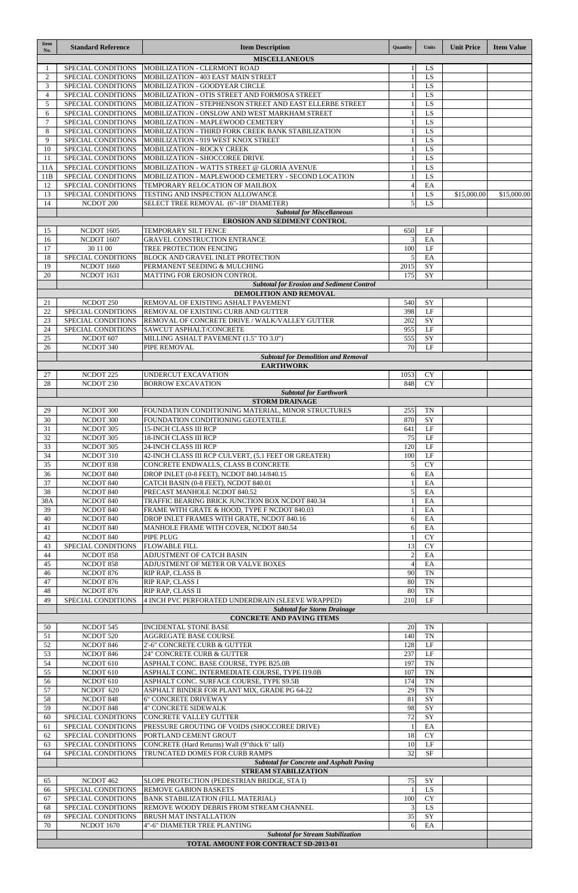| <b>Item</b><br>No.                                                             | <b>Standard Reference</b>                | <b>Item Description</b>                                                          | <b>Quantity</b>                      | <b>Units</b>           | <b>Unit Price</b> | <b>Item Value</b> |
|--------------------------------------------------------------------------------|------------------------------------------|----------------------------------------------------------------------------------|--------------------------------------|------------------------|-------------------|-------------------|
|                                                                                |                                          | <b>MISCELLANEOUS</b>                                                             |                                      |                        |                   |                   |
|                                                                                | SPECIAL CONDITIONS                       | MOBILIZATION - CLERMONT ROAD                                                     |                                      | LS                     |                   |                   |
| $\overline{2}$                                                                 | SPECIAL CONDITIONS                       | MOBILIZATION - 403 EAST MAIN STREET                                              |                                      | LS                     |                   |                   |
| 3<br>$\overline{4}$                                                            | SPECIAL CONDITIONS<br>SPECIAL CONDITIONS | MOBILIZATION - GOODYEAR CIRCLE<br>MOBILIZATION - OTIS STREET AND FORMOSA STREET  | $\mathbf{1}$<br>$\mathbf{1}$         | LS<br>LS               |                   |                   |
| 5                                                                              | SPECIAL CONDITIONS                       | MOBILIZATION - STEPHENSON STREET AND EAST ELLERBE STREET                         |                                      | LS                     |                   |                   |
| 6                                                                              | SPECIAL CONDITIONS                       | MOBILIZATION - ONSLOW AND WEST MARKHAM STREET                                    | $\mathbf{1}$                         | LS                     |                   |                   |
| 7                                                                              | SPECIAL CONDITIONS                       | MOBILIZATION - MAPLEWOOD CEMETERY                                                | -1                                   | LS                     |                   |                   |
| 8                                                                              | SPECIAL CONDITIONS                       | MOBILIZATION - THIRD FORK CREEK BANK STABILIZATION                               | $\mathbf{1}$                         | LS                     |                   |                   |
| 9                                                                              | SPECIAL CONDITIONS                       | MOBILIZATION - 919 WEST KNOX STREET                                              | $\mathbf{1}$                         | LS                     |                   |                   |
| 10<br>11                                                                       | SPECIAL CONDITIONS<br>SPECIAL CONDITIONS | MOBILIZATION - ROCKY CREEK<br>MOBILIZATION - SHOCCOREE DRIVE                     | -1<br>-1                             | LS<br>$\overline{LS}$  |                   |                   |
| 11A                                                                            | SPECIAL CONDITIONS                       | MOBILIZATION - WATTS STREET @ GLORIA AVENUE                                      | $\mathbf{1}$                         | LS                     |                   |                   |
| 11B                                                                            | SPECIAL CONDITIONS                       | MOBILIZATION - MAPLEWOOD CEMETERY - SECOND LOCATION                              | $\mathbf{1}$                         | LS                     |                   |                   |
| 12                                                                             | SPECIAL CONDITIONS                       | TEMPORARY RELOCATION OF MAILBOX                                                  | $\overline{4}$                       | EA                     |                   |                   |
| 13                                                                             | SPECIAL CONDITIONS                       | TESTING AND INSPECTION ALLOWANCE                                                 | -1                                   | LS                     | \$15,000.00       | \$15,000.00       |
| 14                                                                             | NCDOT <sub>200</sub>                     | SELECT TREE REMOVAL (6"-18" DIAMETER)                                            | 5                                    | <b>LS</b>              |                   |                   |
| <b>Subtotal for Miscellaneous</b><br><b>EROSION AND SEDIMENT CONTROL</b>       |                                          |                                                                                  |                                      |                        |                   |                   |
| 15                                                                             | <b>NCDOT 1605</b>                        | TEMPORARY SILT FENCE                                                             | 650                                  | $\rm LF$               |                   |                   |
| 16                                                                             | NCDOT 1607                               | <b>GRAVEL CONSTRUCTION ENTRANCE</b>                                              | 3                                    | EA                     |                   |                   |
| 17                                                                             | 30 11 00                                 | TREE PROTECTION FENCING                                                          | 100                                  | $\rm LF$               |                   |                   |
| 18                                                                             | SPECIAL CONDITIONS                       | <b>BLOCK AND GRAVEL INLET PROTECTION</b>                                         | 5                                    | EA                     |                   |                   |
| 19                                                                             | <b>NCDOT 1660</b>                        | PERMANENT SEEDING & MULCHING                                                     | 2015                                 | SY                     |                   |                   |
| 20                                                                             | NCDOT 1631                               | MATTING FOR EROSION CONTROL                                                      | 175                                  | SY                     |                   |                   |
| <b>Subtotal for Erosion and Sediment Control</b><br>DEMOLITION AND REMOVAL     |                                          |                                                                                  |                                      |                        |                   |                   |
| 21                                                                             | NCDOT <sub>250</sub>                     | REMOVAL OF EXISTING ASHALT PAVEMENT                                              | 540                                  | SY                     |                   |                   |
| 22                                                                             | SPECIAL CONDITIONS                       | <b>REMOVAL OF EXISTING CURB AND GUTTER</b>                                       | 398                                  | LF                     |                   |                   |
| 23                                                                             | SPECIAL CONDITIONS                       | REMOVAL OF CONCRETE DRIVE / WALK/VALLEY GUTTER                                   | 202                                  | SY                     |                   |                   |
| 24                                                                             | SPECIAL CONDITIONS                       | SAWCUT ASPHALT/CONCRETE                                                          | 955                                  | LF                     |                   |                   |
| 25                                                                             | NCDOT 607                                | MILLING ASHALT PAVEMENT (1.5" TO 3.0")                                           | 555                                  | SY                     |                   |                   |
| 26                                                                             | NCDOT 340                                | PIPE REMOVAL                                                                     | 70                                   | LF                     |                   |                   |
| <b>Subtotal for Demolition and Removal</b><br><b>EARTHWORK</b>                 |                                          |                                                                                  |                                      |                        |                   |                   |
| 27                                                                             | NCDOT <sub>225</sub>                     | UNDERCUT EXCAVATION                                                              | 1053                                 | <b>CY</b>              |                   |                   |
| 28                                                                             | NCDOT <sub>230</sub>                     | <b>BORROW EXCAVATION</b>                                                         | 848                                  | <b>CY</b>              |                   |                   |
|                                                                                |                                          | <b>Subtotal for Earthwork</b>                                                    |                                      |                        |                   |                   |
| <b>STORM DRAINAGE</b>                                                          |                                          |                                                                                  |                                      |                        |                   |                   |
| 29                                                                             | NCDOT 300                                | FOUNDATION CONDITIONING MATERIAL, MINOR STRUCTURES                               | 255                                  | TN                     |                   |                   |
| 30<br>31                                                                       | NCDOT 300<br>NCDOT 305                   | FOUNDATION CONDITIONING GEOTEXTILE<br><b>15-INCH CLASS III RCP</b>               | 870<br>641                           | SY<br>LF               |                   |                   |
| 32                                                                             | NCDOT 305                                | <b>18-INCH CLASS III RCP</b>                                                     | 75                                   | LF                     |                   |                   |
| 33                                                                             | NCDOT 305                                | 24-INCH CLASS III RCP                                                            | 120                                  | LF                     |                   |                   |
| 34                                                                             | NCDOT 310                                | 42-INCH CLASS III RCP CULVERT, (5.1 FEET OR GREATER)                             | 100                                  | LF                     |                   |                   |
| 35                                                                             | NCDOT 838                                | CONCRETE ENDWALLS, CLASS B CONCRETE                                              | 5                                    | <b>CY</b>              |                   |                   |
| 36                                                                             | NCDOT 840                                | DROP INLET (0-8 FEET), NCDOT 840.14/840.15                                       | 6                                    | EA                     |                   |                   |
| 37                                                                             | NCDOT 840                                | CATCH BASIN (0-8 FEET), NCDOT 840.01                                             | $\mathbf{1}$                         | EA                     |                   |                   |
| 38<br>38A                                                                      | NCDOT 840<br>NCDOT 840                   | PRECAST MANHOLE NCDOT 840.52<br>TRAFFIC BEARING BRICK JUNCTION BOX NCDOT 840.34  | 5                                    | EA<br>EA               |                   |                   |
| 39                                                                             | NCDOT 840                                | FRAME WITH GRATE & HOOD, TYPE F NCDOT 840.03                                     |                                      | EA                     |                   |                   |
| 40                                                                             | NCDOT 840                                | DROP INLET FRAMES WITH GRATE, NCDOT 840.16                                       | 6                                    | EA                     |                   |                   |
| 41                                                                             | NCDOT 840                                | MANHOLE FRAME WITH COVER, NCDOT 840.54                                           | 6                                    | EA                     |                   |                   |
| 42                                                                             | NCDOT 840                                | <b>PIPE PLUG</b>                                                                 | $\mathbf{1}$                         | <b>CY</b>              |                   |                   |
| 43                                                                             | SPECIAL CONDITIONS                       | <b>FLOWABLE FILL</b>                                                             | 13                                   | <b>CY</b>              |                   |                   |
| 44                                                                             | NCDOT 858                                | ADJUSTMENT OF CATCH BASIN                                                        | $\overline{2}$                       | EA                     |                   |                   |
| 45<br>46                                                                       | NCDOT 858<br>NCDOT 876                   | ADJUSTMENT OF METER OR VALVE BOXES<br>RIP RAP, CLASS B                           | $\overline{4}$<br>90                 | EA<br><b>TN</b>        |                   |                   |
| 47                                                                             | NCDOT 876                                | RIP RAP, CLASS I                                                                 | 80                                   | <b>TN</b>              |                   |                   |
| 48                                                                             | NCDOT 876                                | RIP RAP, CLASS II                                                                | 80                                   | <b>TN</b>              |                   |                   |
| 49                                                                             | SPECIAL CONDITIONS                       | 4 INCH PVC PERFORATED UNDERDRAIN (SLEEVE WRAPPED)                                | 210                                  | LF                     |                   |                   |
|                                                                                |                                          | <b>Subtotal for Storm Drainage</b>                                               |                                      |                        |                   |                   |
| <b>CONCRETE AND PAVING ITEMS</b>                                               |                                          |                                                                                  |                                      |                        |                   |                   |
| 50<br>51                                                                       | NCDOT 545<br>NCDOT 520                   | <b>INCIDENTAL STONE BASE</b><br><b>AGGREGATE BASE COURSE</b>                     | 20<br>140                            | <b>TN</b><br><b>TN</b> |                   |                   |
| 52                                                                             | NCDOT 846                                | 2'-6" CONCRETE CURB & GUTTER                                                     | 128                                  | LF                     |                   |                   |
| 53                                                                             | NCDOT 846                                | 24" CONCRETE CURB & GUTTER                                                       | 237                                  | LF                     |                   |                   |
| 54                                                                             | NCDOT <sub>610</sub>                     | ASPHALT CONC. BASE COURSE, TYPE B25.0B                                           | 197                                  | <b>TN</b>              |                   |                   |
| 55                                                                             | NCDOT 610                                | ASPHALT CONC. INTERMEDIATE COURSE, TYPE I19.0B                                   | 107                                  | <b>TN</b>              |                   |                   |
| 56                                                                             | NCDOT 610                                | ASPHALT CONC. SURFACE COURSE, TYPE S9.5B                                         | 174                                  | <b>TN</b>              |                   |                   |
| 57                                                                             | NCDOT 620                                | ASPHALT BINDER FOR PLANT MIX, GRADE PG 64-22<br><b>6" CONCRETE DRIVEWAY</b>      | 29<br>$\overline{\phantom{a}}$<br>81 | <b>TN</b>              |                   |                   |
| 58<br>59                                                                       | NCDOT 848<br>NCDOT 848                   | <b>4" CONCRETE SIDEWALK</b>                                                      | 98                                   | SY<br>SY               |                   |                   |
| 60                                                                             | SPECIAL CONDITIONS                       | <b>CONCRETE VALLEY GUTTER</b>                                                    | 72                                   | SY                     |                   |                   |
| 61                                                                             | SPECIAL CONDITIONS                       | PRESSURE GROUTING OF VOIDS (SHOCCOREE DRIVE)                                     | 1                                    | EA                     |                   |                   |
| 62                                                                             | SPECIAL CONDITIONS                       | PORTLAND CEMENT GROUT                                                            | 18                                   | <b>CY</b>              |                   |                   |
| 63                                                                             | SPECIAL CONDITIONS                       | CONCRETE (Hard Returns) Wall (9"thick 6" tall)                                   | 10                                   | LF                     |                   |                   |
| 64                                                                             | SPECIAL CONDITIONS                       | TRUNCATED DOMES FOR CURB RAMPS                                                   | 32                                   | <b>SF</b>              |                   |                   |
| <b>Subtotal for Concrete and Asphalt Paving</b><br><b>STREAM STABILIZATION</b> |                                          |                                                                                  |                                      |                        |                   |                   |
| 65                                                                             | NCDOT 462                                | SLOPE PROTECTION (PEDESTRIAN BRIDGE, STA I)                                      | 75                                   | SY                     |                   |                   |
| 66                                                                             | SPECIAL CONDITIONS                       | <b>REMOVE GABION BASKETS</b>                                                     | 1                                    | LS                     |                   |                   |
| 67                                                                             | SPECIAL CONDITIONS                       | <b>BANK STABILIZATION (FILL MATERIAL)</b>                                        | 100                                  | <b>CY</b>              |                   |                   |
| 68                                                                             | SPECIAL CONDITIONS                       | REMOVE WOODY DEBRIS FROM STREAM CHANNEL                                          | 3                                    | LS                     |                   |                   |
| 69                                                                             | SPECIAL CONDITIONS                       | <b>BRUSH MAT INSTALLATION</b>                                                    | 35                                   | SY                     |                   |                   |
| 70                                                                             | <b>NCDOT 1670</b>                        | 4"-6" DIAMETER TREE PLANTING                                                     | 6                                    | EA                     |                   |                   |
|                                                                                |                                          | <b>Subtotal for Stream Stabilization</b><br>TOTAL AMOUNT FOR CONTRACT SD-2013-01 |                                      |                        |                   |                   |
|                                                                                |                                          |                                                                                  |                                      |                        |                   |                   |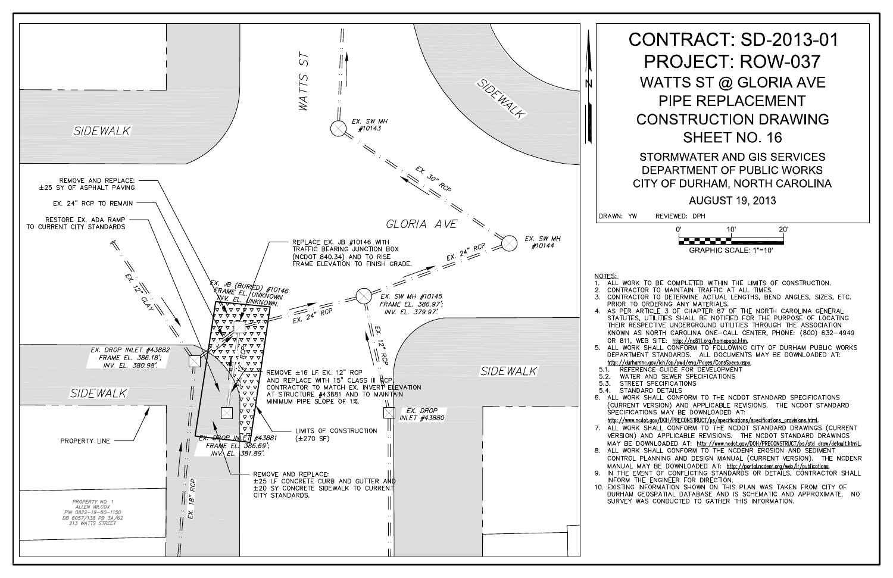

# **CONTRACT: SD-2013-01 PROJECT: ROW-037** WATTS ST @ GLORIA AVE **PIPE REPLACEMENT CONSTRUCTION DRAWING** SHEET NO. 16

STORMWATER AND GIS SERVICES DEPARTMENT OF PUBLIC WORKS CITY OF DURHAM, NORTH CAROLINA

**AUGUST 19, 2013** 

REVIEWED: DPH



1. ALL WORK TO BE COMPLETED WITHIN THE LIMITS OF CONSTRUCTION. CONTRACTOR TO MAINTAIN TRAFFIC AT ALL TIMES. CONTRACTOR TO DETERMINE ACTUAL LENGTHS, BEND ANGLES, SIZES, ETC. PRIOR TO ORDERING ANY MATERIALS. AS PER ARTICLE 3 OF CHAPTER 87 OF THE NORTH CAROLINA GENERAL STATUTES, UTILITIES SHALL BE NOTIFIED FOR THE PURPOSE OF LOCATING THEIR RESPECTIVE UNDERGROUND UTILITIES THROUGH THE ASSOCIATION KNOWN AS NORTH CAROLINA ONE-CALL CENTER, PHONE: (800) 632-4949 OR 811, WEB SITE: http://nc811.org/homepage.htm.<br>ALL WORK SHALL CONFORM TO FOLLOWING CITY OF DURHAM PUBLIC WORKS<br>DEPARTMENT STANDARDS. ALL DOCUMENTS MAY BE DOWNLOADED AT: http://durhamnc.gov/ich/op/pwd/eng/Pages/ConsSpecs.aspx.<br>5.1. REFERENCE GUIDE FOR DEVELOPMENT WATER AND SEWER SPECIFICATIONS STREET SPECIFICATIONS 6. ALL WORK SHALL CONFORM TO THE NCDOT STANDARD SPECIFICATIONS (CURRENT VERSION) AND APPLICABLE REVISIONS. THE NCDOT STANDARD SPECIFICATIONS MAY BE DOWNLOADED AT: http://www.ncdot.gov/DOH/PRECONSTRUCT/ps/specifications/specifications\_provisions.html. 7. ALL WORK SHALL CONFORM TO THE NCDOT STANDARD DRAWINGS (CURRENT VERSION) AND APPLICABLE REVISIONS. THE NCDOT STANDARD DRAWINGS MAY BE DOWNLOADED AT: http://www.ncdot.gov/DOH/PRECONSTRUCT/ps/std\_draw/default.htmlL 8. ALL WORK SHALL CONFORM TO THE NCDENR EROSION AND SEDIMENT CONTROL PLANNING AND DESIGN MANUAL (CURRENT VERSION). THE NCDENR MANUAL MAY BE DOWNLOADED AT: http://portal.ncdenr.org/web/lr/publications.<br>9. IN THE EVENT OF CONFLICTING STANDARDS OR DETAILS, CONTRACTOR SHALL INFORM THE ENGINEER FOR DIRECTION.

10. EXISTING INFORMATION SHOWN ON THIS PLAN WAS TAKEN FROM CITY OF DURHAM GEOSPATIAL DATABASE AND IS SCHEMATIC AND APPROXIMATE. NO SURVEY WAS CONDUCTED TO GATHER THIS INFORMATION.